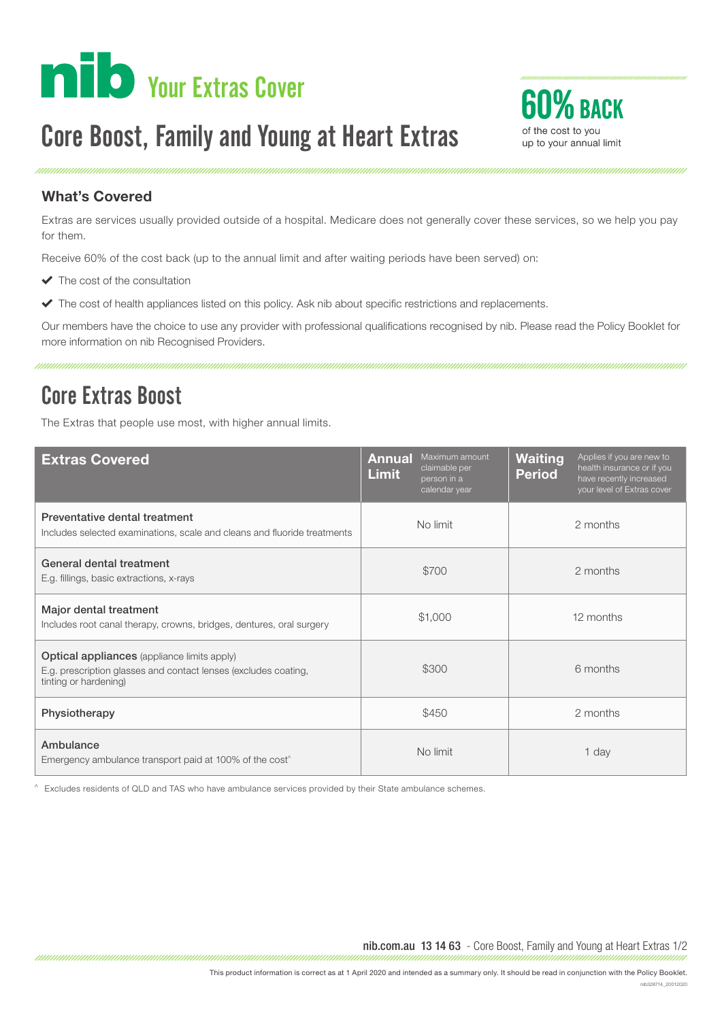

# Core Boost, Family and Young at Heart Extras



#### What's Covered

Extras are services usually provided outside of a hospital. Medicare does not generally cover these services, so we help you pay for them.

Receive 60% of the cost back (up to the annual limit and after waiting periods have been served) on:

- $\blacktriangleright$  The cost of the consultation
- A The cost of health appliances listed on this policy. Ask nib about specific restrictions and replacements.

Our members have the choice to use any provider with professional qualifications recognised by nib. Please read the Policy Booklet for more information on nib Recognised Providers.

### Core Extras Boost

unnunnunnunnunnunnu

The Extras that people use most, with higher annual limits.

| <b>Extras Covered</b>                                                                                                                          | Maximum amount<br><b>Annual</b><br>claimable per<br><b>Limit</b><br>person in a<br>calendar year | Applies if you are new to<br><b>Waiting</b><br>health insurance or if you<br><b>Period</b><br>have recently increased<br>your level of Extras cover |
|------------------------------------------------------------------------------------------------------------------------------------------------|--------------------------------------------------------------------------------------------------|-----------------------------------------------------------------------------------------------------------------------------------------------------|
| Preventative dental treatment<br>Includes selected examinations, scale and cleans and fluoride treatments                                      | No limit                                                                                         | 2 months                                                                                                                                            |
| General dental treatment<br>E.g. fillings, basic extractions, x-rays                                                                           | \$700                                                                                            | 2 months                                                                                                                                            |
| Major dental treatment<br>Includes root canal therapy, crowns, bridges, dentures, oral surgery                                                 | \$1,000                                                                                          | 12 months                                                                                                                                           |
| <b>Optical appliances</b> (appliance limits apply)<br>E.g. prescription glasses and contact lenses (excludes coating,<br>tinting or hardening) | \$300                                                                                            | 6 months                                                                                                                                            |
| Physiotherapy                                                                                                                                  | \$450                                                                                            | 2 months                                                                                                                                            |
| Ambulance<br>Emergency ambulance transport paid at 100% of the cost                                                                            | No limit                                                                                         | 1 day                                                                                                                                               |

Excludes residents of QLD and TAS who have ambulance services provided by their State ambulance schemes.

nib.com.au 13 14 63 - Core Boost, Family and Young at Heart Extras 1/2